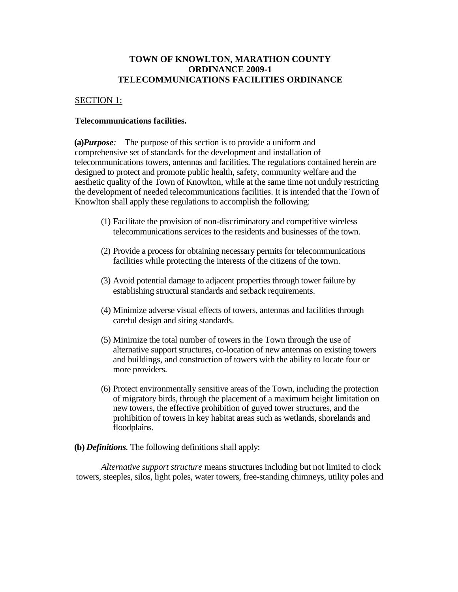# **TOWN OF KNOWLTON, MARATHON COUNTY ORDINANCE 2009-1 TELECOMMUNICATIONS FACILITIES ORDINANCE**

## SECTION 1:

## **Telecommunications facilities.**

**(a)***Purpose:* The purpose of this section is to provide a uniform and comprehensive set of standards for the development and installation of telecommunications towers, antennas and facilities. The regulations contained herein are designed to protect and promote public health, safety, community welfare and the aesthetic quality of the Town of Knowlton, while at the same time not unduly restricting the development of needed telecommunications facilities. It is intended that the Town of Knowlton shall apply these regulations to accomplish the following:

- (1) Facilitate the provision of non-discriminatory and competitive wireless telecommunications services to the residents and businesses of the town.
- (2) Provide a process for obtaining necessary permits for telecommunications facilities while protecting the interests of the citizens of the town.
- (3) Avoid potential damage to adjacent properties through tower failure by establishing structural standards and setback requirements.
- (4) Minimize adverse visual effects of towers, antennas and facilities through careful design and siting standards.
- (5) Minimize the total number of towers in the Town through the use of alternative support structures, co-location of new antennas on existing towers and buildings, and construction of towers with the ability to locate four or more providers.
- (6) Protect environmentally sensitive areas of the Town, including the protection of migratory birds, through the placement of a maximum height limitation on new towers, the effective prohibition of guyed tower structures, and the prohibition of towers in key habitat areas such as wetlands, shorelands and floodplains.
- **(b)** *Definitions.* The following definitions shall apply:

*Alternative support structure* means structures including but not limited to clock towers, steeples, silos, light poles, water towers, free-standing chimneys, utility poles and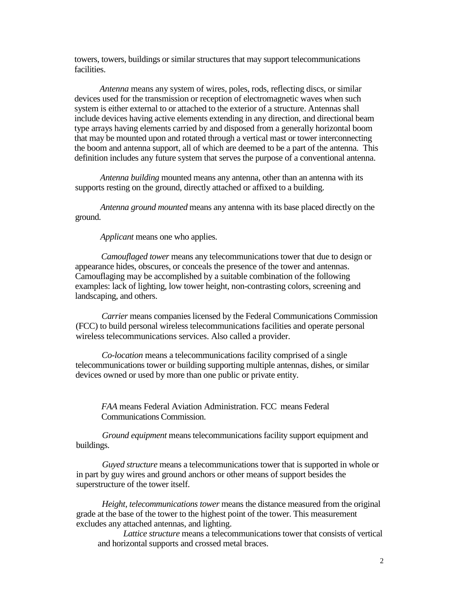towers, towers, buildings or similar structures that may support telecommunications facilities.

*Antenna* means any system of wires, poles, rods, reflecting discs, or similar devices used for the transmission or reception of electromagnetic waves when such system is either external to or attached to the exterior of a structure. Antennas shall include devices having active elements extending in any direction, and directional beam type arrays having elements carried by and disposed from a generally horizontal boom that may be mounted upon and rotated through a vertical mast or tower interconnecting the boom and antenna support, all of which are deemed to be a part of the antenna. This definition includes any future system that serves the purpose of a conventional antenna.

*Antenna building* mounted means any antenna, other than an antenna with its supports resting on the ground, directly attached or affixed to a building.

*Antenna ground mounted* means any antenna with its base placed directly on the ground.

*Applicant* means one who applies.

*Camouflaged tower* means any telecommunications tower that due to design or appearance hides, obscures, or conceals the presence of the tower and antennas. Camouflaging may be accomplished by a suitable combination of the following examples: lack of lighting, low tower height, non-contrasting colors, screening and landscaping, and others.

*Carrier* means companies licensed by the Federal Communications Commission (FCC) to build personal wireless telecommunications facilities and operate personal wireless telecommunications services. Also called a provider.

*Co-location* means a telecommunications facility comprised of a single telecommunications tower or building supporting multiple antennas, dishes, or similar devices owned or used by more than one public or private entity.

*FAA* means Federal Aviation Administration. FCC means Federal Communications Commission.

*Ground equipment* means telecommunications facility support equipment and buildings.

*Guyed structure* means a telecommunications tower that is supported in whole or in part by guy wires and ground anchors or other means of support besides the superstructure of the tower itself.

*Height, telecommunications tower* means the distance measured from the original grade at the base of the tower to the highest point of the tower. This measurement excludes any attached antennas, and lighting.

*Lattice structure* means a telecommunications tower that consists of vertical and horizontal supports and crossed metal braces.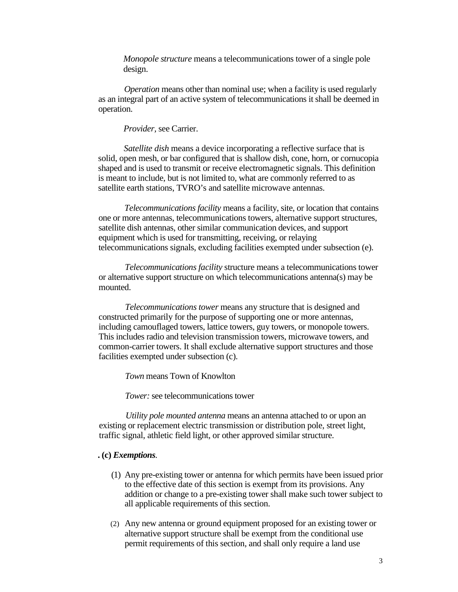*Monopole structure* means a telecommunications tower of a single pole design.

*Operation* means other than nominal use; when a facility is used regularly as an integral part of an active system of telecommunications it shall be deemed in operation.

*Provider,* see Carrier.

*Satellite dish* means a device incorporating a reflective surface that is solid, open mesh, or bar configured that is shallow dish, cone, horn, or cornucopia shaped and is used to transmit or receive electromagnetic signals. This definition is meant to include, but is not limited to, what are commonly referred to as satellite earth stations, TVRO's and satellite microwave antennas.

*Telecommunications facility* means a facility, site, or location that contains one or more antennas, telecommunications towers, alternative support structures, satellite dish antennas, other similar communication devices, and support equipment which is used for transmitting, receiving, or relaying telecommunications signals, excluding facilities exempted under subsection (e).

*Telecommunications facility* structure means a telecommunications tower or alternative support structure on which telecommunications antenna(s) may be mounted.

*Telecommunications tower* means any structure that is designed and constructed primarily for the purpose of supporting one or more antennas, including camouflaged towers, lattice towers, guy towers, or monopole towers. This includes radio and television transmission towers, microwave towers, and common-carrier towers. It shall exclude alternative support structures and those facilities exempted under subsection (c).

*Town* means Town of Knowlton

*Tower:* see telecommunications tower

*Utility pole mounted antenna* means an antenna attached to or upon an existing or replacement electric transmission or distribution pole, street light, traffic signal, athletic field light, or other approved similar structure.

#### **. (c)** *Exemptions.*

- (1) Any pre-existing tower or antenna for which permits have been issued prior to the effective date of this section is exempt from its provisions. Any addition or change to a pre-existing tower shall make such tower subject to all applicable requirements of this section.
- (2) Any new antenna or ground equipment proposed for an existing tower or alternative support structure shall be exempt from the conditional use permit requirements of this section, and shall only require a land use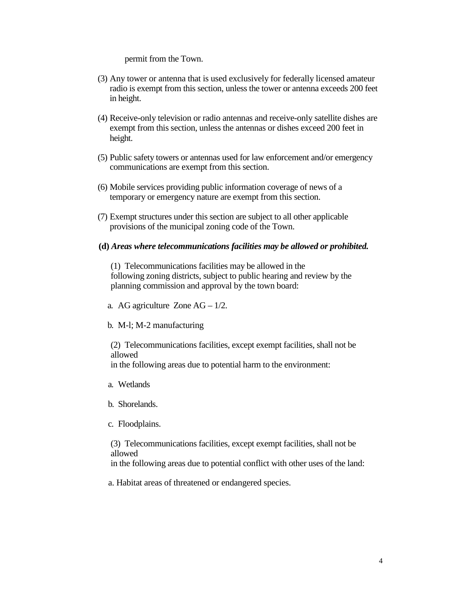permit from the Town.

- (3) Any tower or antenna that is used exclusively for federally licensed amateur radio is exempt from this section, unless the tower or antenna exceeds 200 feet in height.
- (4) Receive-only television or radio antennas and receive-only satellite dishes are exempt from this section, unless the antennas or dishes exceed 200 feet in height.
- (5) Public safety towers or antennas used for law enforcement and/or emergency communications are exempt from this section.
- (6) Mobile services providing public information coverage of news of a temporary or emergency nature are exempt from this section.
- (7) Exempt structures under this section are subject to all other applicable provisions of the municipal zoning code of the Town.
- **(d)** *Areas where telecommunications facilities may be allowed or prohibited.*

 (1) Telecommunications facilities may be allowed in the following zoning districts, subject to public hearing and review by the planning commission and approval by the town board:

- a. AG agriculture Zone  $AG 1/2$ .
- b. M-l; M-2 manufacturing

 (2) Telecommunications facilities, except exempt facilities, shall not be allowed

in the following areas due to potential harm to the environment:

- a. Wetlands
- b. Shorelands.
- c. Floodplains.

 (3) Telecommunications facilities, except exempt facilities, shall not be allowed

in the following areas due to potential conflict with other uses of the land:

a. Habitat areas of threatened or endangered species.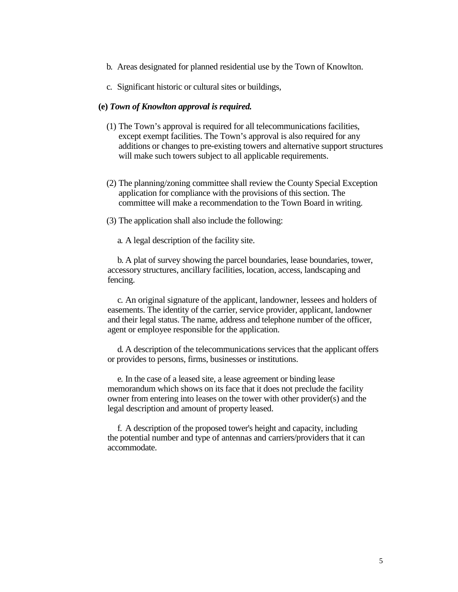- b. Areas designated for planned residential use by the Town of Knowlton.
- c. Significant historic or cultural sites or buildings,

### **(e)** *Town of Knowlton approval is required.*

- (1) The Town's approval is required for all telecommunications facilities, except exempt facilities. The Town's approval is also required for any additions or changes to pre-existing towers and alternative support structures will make such towers subject to all applicable requirements.
- (2) The planning/zoning committee shall review the County Special Exception application for compliance with the provisions of this section. The committee will make a recommendation to the Town Board in writing.
- (3) The application shall also include the following:

a. A legal description of the facility site.

 b. A plat of survey showing the parcel boundaries, lease boundaries, tower, accessory structures, ancillary facilities, location, access, landscaping and fencing.

 c. An original signature of the applicant, landowner, lessees and holders of easements. The identity of the carrier, service provider, applicant, landowner and their legal status. The name, address and telephone number of the officer, agent or employee responsible for the application.

 d. A description of the telecommunications services that the applicant offers or provides to persons, firms, businesses or institutions.

 e. In the case of a leased site, a lease agreement or binding lease memorandum which shows on its face that it does not preclude the facility owner from entering into leases on the tower with other provider(s) and the legal description and amount of property leased.

 f. A description of the proposed tower's height and capacity, including the potential number and type of antennas and carriers/providers that it can accommodate.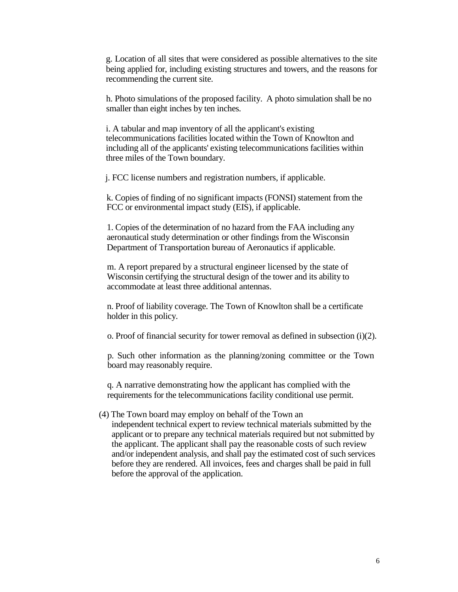g. Location of all sites that were considered as possible alternatives to the site being applied for, including existing structures and towers, and the reasons for recommending the current site.

h. Photo simulations of the proposed facility. A photo simulation shall be no smaller than eight inches by ten inches.

i. A tabular and map inventory of all the applicant's existing telecommunications facilities located within the Town of Knowlton and including all of the applicants' existing telecommunications facilities within three miles of the Town boundary.

j. FCC license numbers and registration numbers, if applicable.

k. Copies of finding of no significant impacts (FONSI) statement from the FCC or environmental impact study (EIS), if applicable.

1. Copies of the determination of no hazard from the FAA including any aeronautical study determination or other findings from the Wisconsin Department of Transportation bureau of Aeronautics if applicable.

m. A report prepared by a structural engineer licensed by the state of Wisconsin certifying the structural design of the tower and its ability to accommodate at least three additional antennas.

n. Proof of liability coverage. The Town of Knowlton shall be a certificate holder in this policy.

o. Proof of financial security for tower removal as defined in subsection (i)(2).

p. Such other information as the planning/zoning committee or the Town board may reasonably require.

q. A narrative demonstrating how the applicant has complied with the requirements for the telecommunications facility conditional use permit.

(4) The Town board may employ on behalf of the Town an independent technical expert to review technical materials submitted by the

applicant or to prepare any technical materials required but not submitted by the applicant. The applicant shall pay the reasonable costs of such review and/or independent analysis, and shall pay the estimated cost of such services before they are rendered. All invoices, fees and charges shall be paid in full before the approval of the application.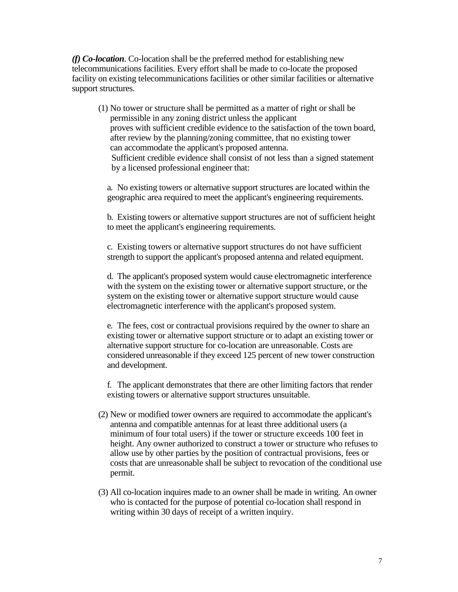*(f) Co-location.* Co-location shall be the preferred method for establishing new telecommunications facilities. Every effort shall be made to co-locate the proposed facility on existing telecommunications facilities or other similar facilities or alternative support structures.

(1) No tower or structure shall be permitted as a matter of right or shall be permissible in any zoning district unless the applicant proves with sufficient credible evidence to the satisfaction of the town board, after review by the planning/zoning committee, that no existing tower can accommodate the applicant's proposed antenna. Sufficient credible evidence shall consist of not less than a signed statement by a licensed professional engineer that:

a. No existing towers or alternative support structures are located within the geographic area required to meet the applicant's engineering requirements.

b. Existing towers or alternative support structures are not of sufficient height to meet the applicant's engineering requirements.

c. Existing towers or alternative support structures do not have sufficient strength to support the applicant's proposed antenna and related equipment.

d. The applicant's proposed system would cause electromagnetic interference with the system on the existing tower or alternative support structure, or the system on the existing tower or alternative support structure would cause electromagnetic interference with the applicant's proposed system.

e. The fees, cost or contractual provisions required by the owner to share an existing tower or alternative support structure or to adapt an existing tower or alternative support structure for co-location are unreasonable. Costs are considered unreasonable if they exceed 125 percent of new tower construction and development.

f. The applicant demonstrates that there are other limiting factors that render existing towers or alternative support structures unsuitable.

- (2) New or modified tower owners are required to accommodate the applicant's antenna and compatible antennas for at least three additional users (a minimum of four total users) if the tower or structure exceeds 100 feet in height. Any owner authorized to construct a tower or structure who refuses to allow use by other parties by the position of contractual provisions, fees or costs that are unreasonable shall be subject to revocation of the conditional use permit.
- (3) All co-location inquires made to an owner shall be made in writing. An owner who is contacted for the purpose of potential co-location shall respond in writing within 30 days of receipt of a written inquiry.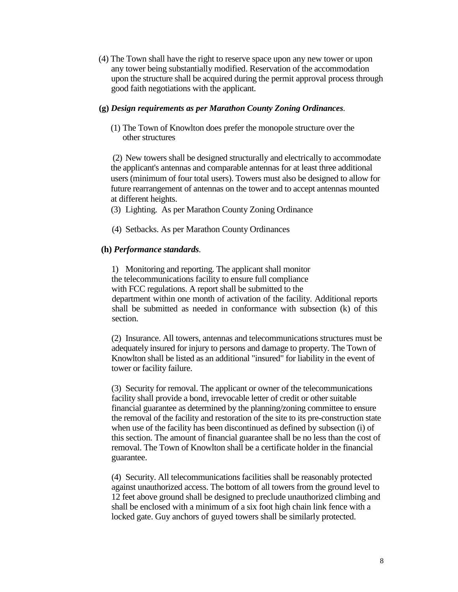(4) The Town shall have the right to reserve space upon any new tower or upon any tower being substantially modified. Reservation of the accommodation upon the structure shall be acquired during the permit approval process through good faith negotiations with the applicant.

## **(g)** *Design requirements as per Marathon County Zoning Ordinances.*

(1) The Town of Knowlton does prefer the monopole structure over the other structures

 (2) New towers shall be designed structurally and electrically to accommodate the applicant's antennas and comparable antennas for at least three additional users (minimum of four total users). Towers must also be designed to allow for future rearrangement of antennas on the tower and to accept antennas mounted at different heights.

(3) Lighting. As per Marathon County Zoning Ordinance

(4) Setbacks. As per Marathon County Ordinances

## **(h)** *Performance standards.*

 1) Monitoring and reporting. The applicant shall monitor the telecommunications facility to ensure full compliance with FCC regulations. A report shall be submitted to the department within one month of activation of the facility. Additional reports shall be submitted as needed in conformance with subsection (k) of this section.

 (2) Insurance. All towers, antennas and telecommunications structures must be adequately insured for injury to persons and damage to property. The Town of Knowlton shall be listed as an additional "insured" for liability in the event of tower or facility failure.

 (3) Security for removal. The applicant or owner of the telecommunications facility shall provide a bond, irrevocable letter of credit or other suitable financial guarantee as determined by the planning/zoning committee to ensure the removal of the facility and restoration of the site to its pre-construction state when use of the facility has been discontinued as defined by subsection (i) of this section. The amount of financial guarantee shall be no less than the cost of removal. The Town of Knowlton shall be a certificate holder in the financial guarantee.

 (4) Security. All telecommunications facilities shall be reasonably protected against unauthorized access. The bottom of all towers from the ground level to 12 feet above ground shall be designed to preclude unauthorized climbing and shall be enclosed with a minimum of a six foot high chain link fence with a locked gate. Guy anchors of guyed towers shall be similarly protected.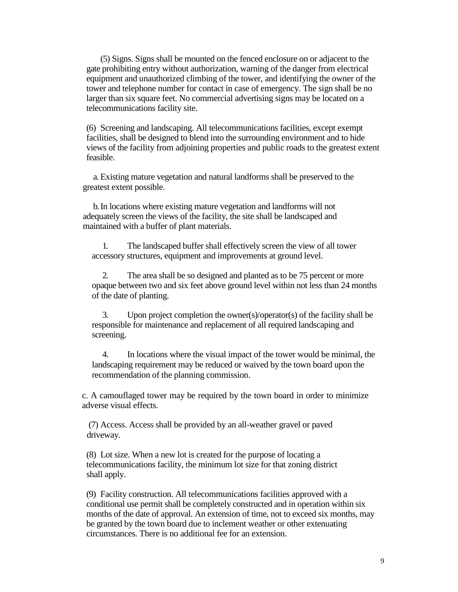(5) Signs. Signs shall be mounted on the fenced enclosure on or adjacent to the gate prohibiting entry without authorization, warning of the danger from electrical equipment and unauthorized climbing of the tower, and identifying the owner of the tower and telephone number for contact in case of emergency. The sign shall be no larger than six square feet. No commercial advertising signs may be located on a telecommunications facility site.

 (6) Screening and landscaping. All telecommunications facilities, except exempt facilities, shall be designed to blend into the surrounding environment and to hide views of the facility from adjoining properties and public roads to the greatest extent feasible.

 a. Existing mature vegetation and natural landforms shall be preserved to the greatest extent possible.

 b. In locations where existing mature vegetation and landforms will not adequately screen the views of the facility, the site shall be landscaped and maintained with a buffer of plant materials.

 1. The landscaped buffer shall effectively screen the view of all tower accessory structures, equipment and improvements at ground level.

 2. The area shall be so designed and planted as to be 75 percent or more opaque between two and six feet above ground level within not less than 24 months of the date of planting.

 3. Upon project completion the owner(s)/operator(s) of the facility shall be responsible for maintenance and replacement of all required landscaping and screening.

 4. In locations where the visual impact of the tower would be minimal, the landscaping requirement may be reduced or waived by the town board upon the recommendation of the planning commission.

c. A camouflaged tower may be required by the town board in order to minimize adverse visual effects.

 (7) Access. Access shall be provided by an all-weather gravel or paved driveway.

 (8) Lot size. When a new lot is created for the purpose of locating a telecommunications facility, the minimum lot size for that zoning district shall apply.

 (9) Facility construction. All telecommunications facilities approved with a conditional use permit shall be completely constructed and in operation within six months of the date of approval. An extension of time, not to exceed six months, may be granted by the town board due to inclement weather or other extenuating circumstances. There is no additional fee for an extension.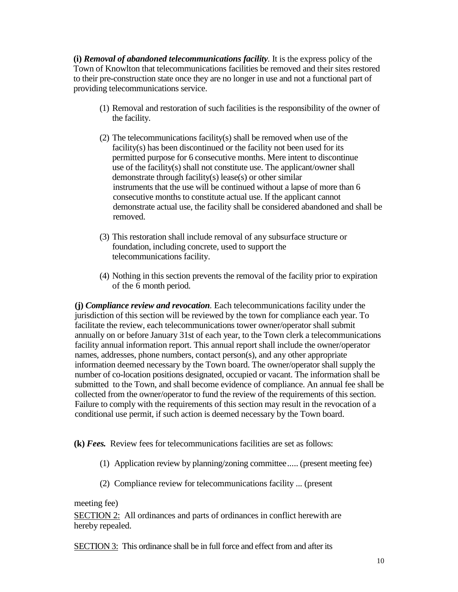**(i)** *Removal of abandoned telecommunications facility.* It is the express policy of the Town of Knowlton that telecommunications facilities be removed and their sites restored to their pre-construction state once they are no longer in use and not a functional part of providing telecommunications service.

- (1) Removal and restoration of such facilities is the responsibility of the owner of the facility.
- (2) The telecommunications facility(s) shall be removed when use of the facility(s) has been discontinued or the facility not been used for its permitted purpose for 6 consecutive months. Mere intent to discontinue use of the facility(s) shall not constitute use. The applicant/owner shall demonstrate through facility(s) lease(s) or other similar instruments that the use will be continued without a lapse of more than 6 consecutive months to constitute actual use. If the applicant cannot demonstrate actual use, the facility shall be considered abandoned and shall be removed.
- (3) This restoration shall include removal of any subsurface structure or foundation, including concrete, used to support the telecommunications facility.
- (4) Nothing in this section prevents the removal of the facility prior to expiration of the 6 month period.

**(j)** *Compliance review and revocation.* Each telecommunications facility under the jurisdiction of this section will be reviewed by the town for compliance each year. To facilitate the review, each telecommunications tower owner/operator shall submit annually on or before January 31st of each year, to the Town clerk a telecommunications facility annual information report. This annual report shall include the owner/operator names, addresses, phone numbers, contact person(s), and any other appropriate information deemed necessary by the Town board. The owner/operator shall supply the number of co-location positions designated, occupied or vacant. The information shall be submitted to the Town, and shall become evidence of compliance. An annual fee shall be collected from the owner/operator to fund the review of the requirements of this section. Failure to comply with the requirements of this section may result in the revocation of a conditional use permit, if such action is deemed necessary by the Town board.

**(k)** *Fees.* Review fees for telecommunications facilities are set as follows:

- (1) Application review by planning/zoning committee..... (present meeting fee)
- (2) Compliance review for telecommunications facility ... (present

meeting fee)

SECTION 2: All ordinances and parts of ordinances in conflict herewith are hereby repealed.

SECTION 3: This ordinance shall be in full force and effect from and after its